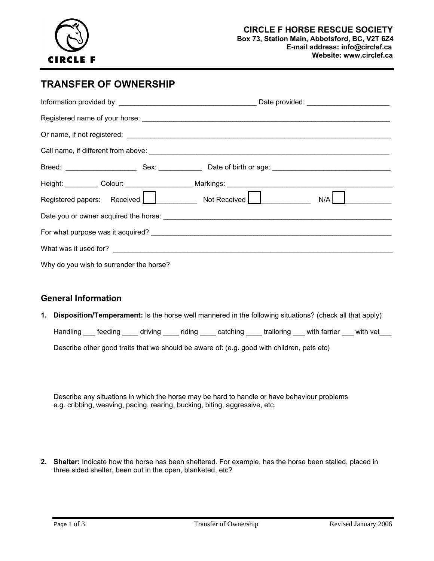

## **TRANSFER OF OWNERSHIP**

|                                         | $N/A$   $\qquad \qquad$ |  |  |  |  |  |  |
|-----------------------------------------|-------------------------|--|--|--|--|--|--|
|                                         |                         |  |  |  |  |  |  |
|                                         |                         |  |  |  |  |  |  |
|                                         |                         |  |  |  |  |  |  |
| Why do you wish to surrender the horse? |                         |  |  |  |  |  |  |

## **General Information**

**1. Disposition/Temperament:** Is the horse well mannered in the following situations? (check all that apply)

Handling feeding driving riding catching trailoring with farrier with vet

Describe other good traits that we should be aware of: (e.g. good with children, pets etc)

Describe any situations in which the horse may be hard to handle or have behaviour problems e.g. cribbing, weaving, pacing, rearing, bucking, biting, aggressive, etc.

**2. Shelter:** Indicate how the horse has been sheltered. For example, has the horse been stalled, placed in three sided shelter, been out in the open, blanketed, etc?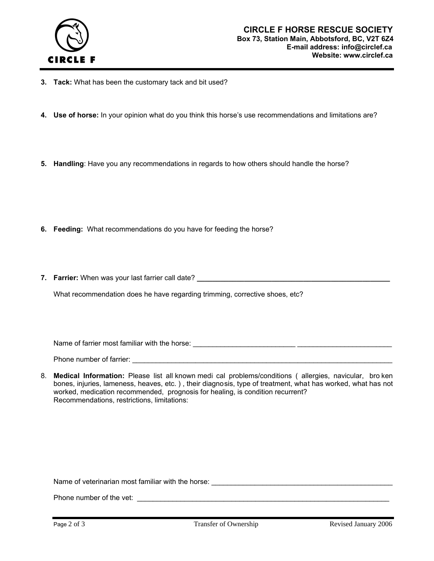

- **3. Tack:** What has been the customary tack and bit used?
- **4. Use of horse:** In your opinion what do you think this horse's use recommendations and limitations are?
- **5. Handling**: Have you any recommendations in regards to how others should handle the horse?

- **6. Feeding:** What recommendations do you have for feeding the horse?
- **7. Farrier:** When was your last farrier call date?

What recommendation does he have regarding trimming, corrective shoes, etc?

Name of farrier most familiar with the horse: \_\_\_\_\_\_\_\_\_\_\_\_\_\_\_\_\_\_\_\_\_\_\_\_\_\_ \_\_\_\_\_\_\_\_\_\_\_\_\_\_\_\_\_\_\_\_\_\_\_\_

Phone number of farrier: \_\_\_\_\_\_\_\_\_\_\_\_\_\_\_\_\_\_\_\_\_\_\_\_\_\_\_\_\_\_\_\_\_\_\_\_\_\_\_\_\_\_\_\_\_\_\_\_\_\_\_\_\_\_\_\_\_\_\_\_\_\_\_\_\_\_

8. **Medical Information:** Please list all known medi cal problems/conditions ( allergies, navicular, bro ken bones, injuries, lameness, heaves, etc. ) , their diagnosis, type of treatment, what has worked, what has not worked, medication recommended, prognosis for healing, is condition recurrent? Recommendations, restrictions, limitations:

Name of veterinarian most familiar with the horse: \_\_\_\_\_\_\_\_\_\_\_\_\_\_\_\_\_\_\_\_\_\_\_\_\_\_\_\_\_\_

Phone number of the vet: \_\_\_\_\_\_\_\_\_\_\_\_\_\_\_\_\_\_\_\_\_\_\_\_\_\_\_\_\_\_\_\_\_\_\_\_\_\_\_\_\_\_\_\_\_\_\_\_\_\_\_\_\_\_\_\_\_\_\_\_\_\_\_\_